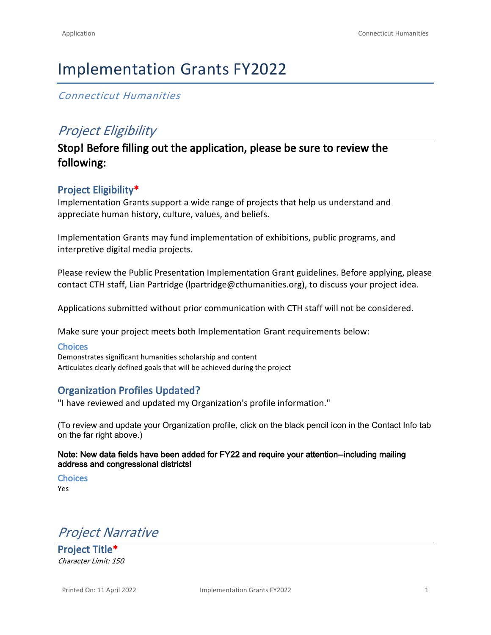# Implementation Grants FY2022

## *Connecticut Humanities*

## *Project Eligibility*

## **Stop! Before filling out the application, please be sure to review the following:**

## **Project Eligibility\***

Implementation Grants support a wide range of projects that help us understand and appreciate human history, culture, values, and beliefs.

Implementation Grants may fund implementation of exhibitions, public programs, and interpretive digital media projects.

Please review the [Public Presentation Implementation Grant guidelines](https://cthumanities.org/wp-content/uploads/2022/02/PP-Implementation-Guidelines012622.pdf). Before applying, please contact CTH staff, Lian Partridge [\(lpartridge@cthumanities.org](mailto:lpartridge@cthumanities.org)), to discuss your project idea.

Applications submitted without prior communication with CTH staff will not be considered.

Make sure your project meets both Implementation Grant requirements below:

#### **Choices**

Demonstrates significant humanities scholarship and content Articulates clearly defined goals that will be achieved during the project

## **Organization Profiles Updated?**

"I have reviewed and updated my Organization's profile information."

(To review and update your Organization profile, click on the black pencil icon in the Contact Info tab on the far right above.)

#### **Note: New data fields have been added for FY22 and require your attention--including mailing address and congressional districts!**

**Choices**

Yes

*Project Narrative*

**Project Title\*** *Character Limit: 150*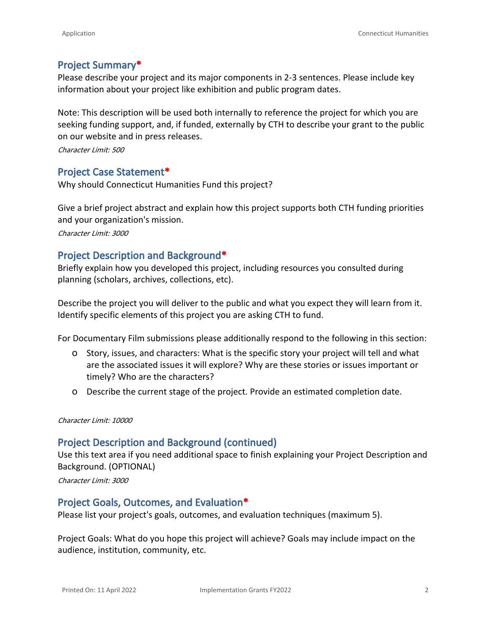## **Project Summary\***

Please describe your project and its major components in 2-3 sentences. Please include key information about your project like exhibition and public program dates.

Note: This description will be used both internally to reference the project for which you are seeking funding support, and, if funded, externally by CTH to describe your grant to the public on our website and in press releases.

*Character Limit: 500*

### **Project Case Statement\***

Why should Connecticut Humanities Fund this project?

Give a brief project abstract and explain how this project supports both [CTH funding priorities](https://cthumanities.org/funding-priorities/)  and your organization's mission.

*Character Limit: 3000*

## **Project Description and Background\***

Briefly explain how you developed this project, including resources you consulted during planning (scholars, archives, collections, etc).

Describe the project you will deliver to the public and what you expect they will learn from it. Identify specific elements of this project you are asking CTH to fund.

For Documentary Film submissions please additionally respond to the following in this section:

- o Story, issues, and characters: What is the specific story your project will tell and what are the associated issues it will explore? Why are these stories or issues important or timely? Who are the characters?
- o Describe the current stage of the project. Provide an estimated completion date.

#### *Character Limit: 10000*

### **Project Description and Background (continued)**

Use this text area if you need additional space to finish explaining your Project Description and Background. (OPTIONAL)

*Character Limit: 3000*

#### **Project Goals, Outcomes, and Evaluation\***

Please list your project's goals, outcomes, and evaluation techniques (maximum 5).

Project Goals: What do you hope this project will achieve? Goals may include impact on the audience, institution, community, etc.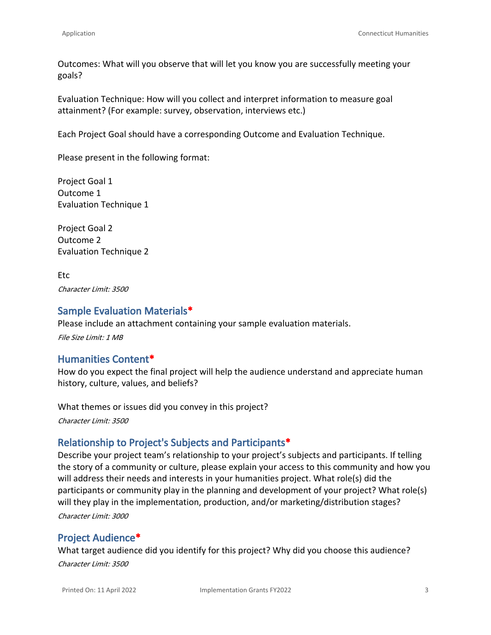Outcomes: What will you observe that will let you know you are successfully meeting your goals?

Evaluation Technique: How will you collect and interpret information to measure goal attainment? (For example: survey, observation, interviews etc.)

Each Project Goal should have a corresponding Outcome and Evaluation Technique.

Please present in the following format:

Project Goal 1 Outcome 1 Evaluation Technique 1

Project Goal 2 Outcome 2 Evaluation Technique 2

Etc *Character Limit: 3500*

## **Sample Evaluation Materials\***

Please include an attachment containing your sample evaluation materials. *File Size Limit: 1 MB*

## **Humanities Content\***

How do you expect the final project will help the audience understand and appreciate human history, culture, values, and beliefs?

What themes or issues did you convey in this project?

*Character Limit: 3500*

## **Relationship to Project's Subjects and Participants\***

Describe your project team's relationship to your project's subjects and participants. If telling the story of a community or culture, please explain your access to this community and how you will address their needs and interests in your humanities project. What role(s) did the participants or community play in the planning and development of your project? What role(s) will they play in the implementation, production, and/or marketing/distribution stages? *Character Limit: 3000*

## **Project Audience\***

What target audience did you identify for this project? Why did you choose this audience?

*Character Limit: 3500*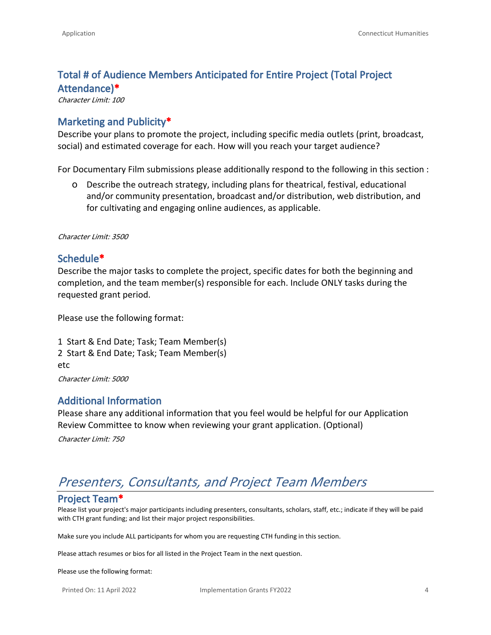## **Total # of Audience Members Anticipated for Entire Project (Total Project Attendance)\***

*Character Limit: 100*

## **Marketing and Publicity\***

Describe your plans to promote the project, including specific media outlets (print, broadcast, social) and estimated coverage for each. How will you reach your target audience?

For Documentary Film submissions please additionally respond to the following in this section :

o Describe the outreach strategy, including plans for theatrical, festival, educational and/or community presentation, broadcast and/or distribution, web distribution, and for cultivating and engaging online audiences, as applicable.

*Character Limit: 3500*

### **Schedule\***

Describe the major tasks to complete the project, specific dates for both the beginning and completion, and the team member(s) responsible for each. Include ONLY tasks during the requested grant period.

Please use the following format:

1 Start & End Date; Task; Team Member(s) 2 Start & End Date; Task; Team Member(s) etc *Character Limit: 5000*

## **Additional Information**

Please share any additional information that you feel would be helpful for our Application Review Committee to know when reviewing your grant application. (Optional)

*Character Limit: 750*

## *Presenters, Consultants, and Project Team Members*

### **Project Team\***

Please list your project's major participants including presenters, consultants, scholars, staff, etc.; indicate if they will be paid with CTH grant funding; and list their major project responsibilities.

Make sure you include ALL participants for whom you are requesting CTH funding in this section.

Please attach resumes or bios for all listed in the Project Team in the next question.

Please use the following format: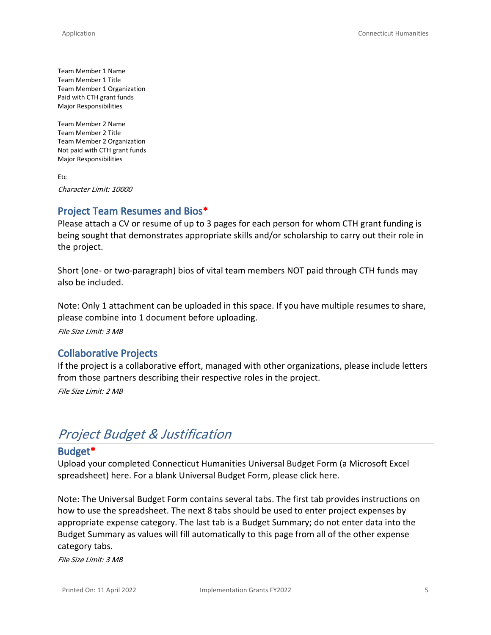Team Member 1 Name Team Member 1 Title Team Member 1 Organization Paid with CTH grant funds Major Responsibilities

Team Member 2 Name Team Member 2 Title Team Member 2 Organization Not paid with CTH grant funds Major Responsibilities

Etc *Character Limit: 10000*

## **Project Team Resumes and Bios\***

Please attach a CV or resume of up to 3 pages for each person for whom CTH grant funding is being sought that demonstrates appropriate skills and/or scholarship to carry out their role in the project.

Short (one- or two-paragraph) bios of vital team members NOT paid through CTH funds may also be included.

Note: Only 1 attachment can be uploaded in this space. If you have multiple resumes to share, please combine into 1 document before uploading.

*File Size Limit: 3 MB*

### **Collaborative Projects**

If the project is a collaborative effort, managed with other organizations, please include letters from those partners describing their respective roles in the project.

*File Size Limit: 2 MB*

## *Project Budget & Justification*

## **Budget\***

Upload your completed Connecticut Humanities Universal Budget Form (a Microsoft Excel spreadsheet) here. For a blank Universal Budget Form, please click [here.](https://cthumanities.org/wp-content/uploads/2018/12/Universal-Grant-Budget-8.6.18-final.xlsx)

Note: The Universal Budget Form contains several tabs. The first tab provides instructions on how to use the spreadsheet. The next 8 tabs should be used to enter project expenses by appropriate expense category. The last tab is a Budget Summary; do not enter data into the Budget Summary as values will fill automatically to this page from all of the other expense category tabs.

*File Size Limit: 3 MB*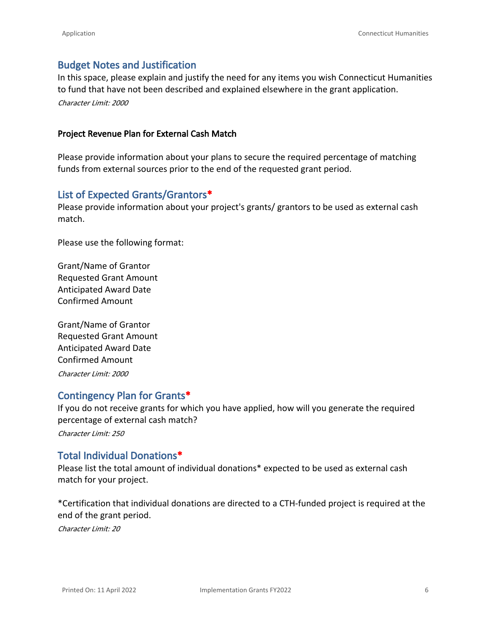## **Budget Notes and Justification**

In this space, please explain and justify the need for any items you wish Connecticut Humanities to fund that have not been described and explained elsewhere in the grant application. *Character Limit: 2000*

#### **Project Revenue Plan for External Cash Match**

Please provide information about your plans to secure the required percentage of matching funds from external sources prior to the end of the requested grant period.

## **List of Expected Grants/Grantors\***

Please provide information about your project's grants/ grantors to be used as external cash match.

Please use the following format:

Grant/Name of Grantor Requested Grant Amount Anticipated Award Date Confirmed Amount

Grant/Name of Grantor Requested Grant Amount Anticipated Award Date Confirmed Amount *Character Limit: 2000*

## **Contingency Plan for Grants\***

If you do not receive grants for which you have applied, how will you generate the required percentage of external cash match?

*Character Limit: 250*

## **Total Individual Donations\***

Please list the total amount of individual donations\* expected to be used as external cash match for your project.

\*Certification that individual donations are directed to a CTH-funded project is required at the end of the grant period.

*Character Limit: 20*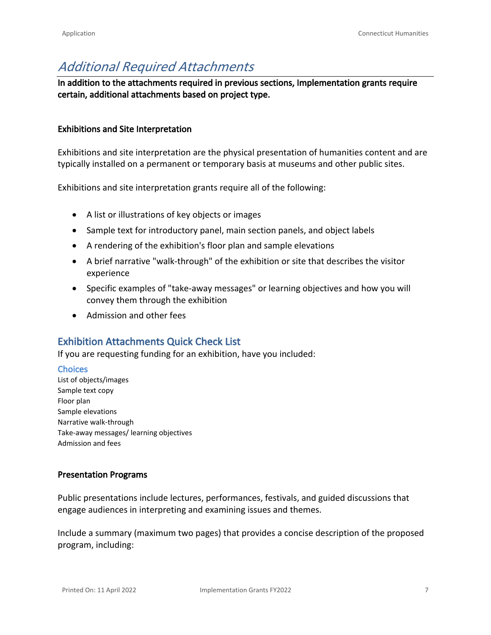## *Additional Required Attachments*

**In addition to the attachments required in previous sections, Implementation grants require certain, additional attachments based on project type.**

#### **Exhibitions and Site Interpretation**

Exhibitions and site interpretation are the physical presentation of humanities content and are typically installed on a permanent or temporary basis at museums and other public sites.

Exhibitions and site interpretation grants require all of the following:

- A list or illustrations of key objects or images
- Sample text for introductory panel, main section panels, and object labels
- A rendering of the exhibition's floor plan and sample elevations
- A brief narrative "walk-through" of the exhibition or site that describes the visitor experience
- Specific examples of "take-away messages" or learning objectives and how you will convey them through the exhibition
- Admission and other fees

## **Exhibition Attachments Quick Check List**

If you are requesting funding for an exhibition, have you included:

#### **Choices**

List of objects/images Sample text copy Floor plan Sample elevations Narrative walk-through Take-away messages/ learning objectives Admission and fees

#### **Presentation Programs**

Public presentations include lectures, performances, festivals, and guided discussions that engage audiences in interpreting and examining issues and themes.

Include a summary (maximum two pages) that provides a concise description of the proposed program, including: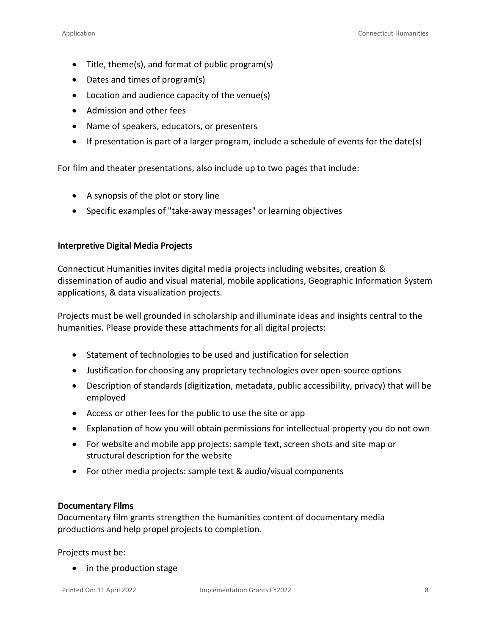- Title, theme(s), and format of public program(s)
- Dates and times of program(s)
- Location and audience capacity of the venue(s)
- Admission and other fees
- Name of speakers, educators, or presenters
- If presentation is part of a larger program, include a schedule of events for the date(s)

For film and theater presentations, also include up to two pages that include:

- A synopsis of the plot or story line
- Specific examples of "take-away messages" or learning objectives

#### **Interpretive Digital Media Projects**

Connecticut Humanities invites digital media projects including websites, creation & dissemination of audio and visual material, mobile applications, Geographic Information System applications, & data visualization projects.

Projects must be well grounded in scholarship and illuminate ideas and insights central to the humanities. Please provide these attachments for all digital projects:

- Statement of technologies to be used and justification for selection
- Justification for choosing any proprietary technologies over open-source options
- Description of standards (digitization, metadata, public accessibility, privacy) that will be employed
- Access or other fees for the public to use the site or app
- Explanation of how you will obtain permissions for intellectual property you do not own
- For website and mobile app projects: sample text, screen shots and site map or structural description for the website
- For other media projects: sample text & audio/visual components

### **Documentary Films**

Documentary film grants strengthen the humanities content of documentary media productions and help propel projects to completion.

Projects must be:

• in the production stage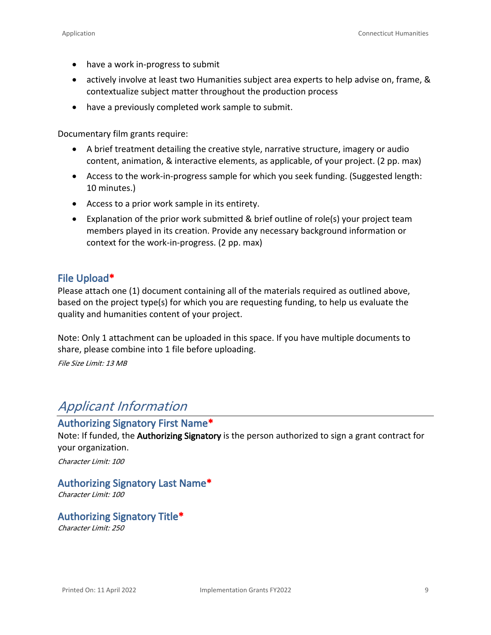- have a work in-progress to submit
- actively involve at least two [Humanities subject area experts](https://cthumanities.org/our-story/what-are-the-humanities/) to help advise on, frame, & contextualize subject matter throughout the production process
- have a previously completed work sample to submit.

Documentary film grants require:

- A brief treatment detailing the creative style, narrative structure, imagery or audio content, animation, & interactive elements, as applicable, of your project. (2 pp. max)
- Access to the work-in-progress sample for which you seek funding. (Suggested length: 10 minutes.)
- Access to a prior work sample in its entirety.
- Explanation of the prior work submitted & brief outline of role(s) your project team members played in its creation. Provide any necessary background information or context for the work-in-progress. (2 pp. max)

#### **File Upload\***

Please attach one (1) document containing all of the materials required as outlined above, based on the project type(s) for which you are requesting funding, to help us evaluate the quality and humanities content of your project.

Note: Only 1 attachment can be uploaded in this space. If you have multiple documents to share, please combine into 1 file before uploading.

*File Size Limit: 13 MB*

## *Applicant Information*

## **Authorizing Signatory First Name\***

Note: If funded, the **Authorizing Signatory** is the person authorized to sign a grant contract for your organization.

*Character Limit: 100*

### **Authorizing Signatory Last Name\***

*Character Limit: 100*

### **Authorizing Signatory Title\***

*Character Limit: 250*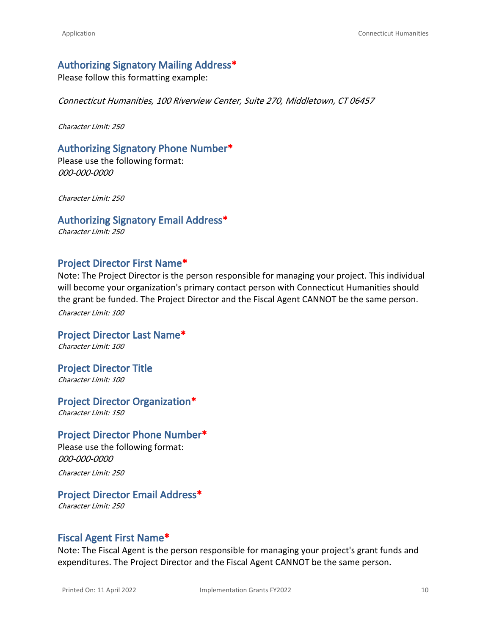### **Authorizing Signatory Mailing Address\***

Please follow this formatting example:

*Connecticut Humanities, 100 Riverview Center, Suite 270, Middletown, CT 06457*

*Character Limit: 250*

#### **Authorizing Signatory Phone Number\***

Please use the following format: *000-000-0000*

*Character Limit: 250*

#### **Authorizing Signatory Email Address\***

*Character Limit: 250*

#### **Project Director First Name\***

Note: The Project Director is the person responsible for managing your project. This individual will become your organization's primary contact person with Connecticut Humanities should the grant be funded. The Project Director and the Fiscal Agent CANNOT be the same person. *Character Limit: 100*

**Project Director Last Name\*** *Character Limit: 100*

**Project Director Title** *Character Limit: 100*

**Project Director Organization\***

*Character Limit: 150*

#### **Project Director Phone Number\***

Please use the following format: *000-000-0000 Character Limit: 250*

### **Project Director Email Address\***

*Character Limit: 250*

#### **Fiscal Agent First Name\***

Note: The Fiscal Agent is the person responsible for managing your project's grant funds and expenditures. The Project Director and the Fiscal Agent CANNOT be the same person.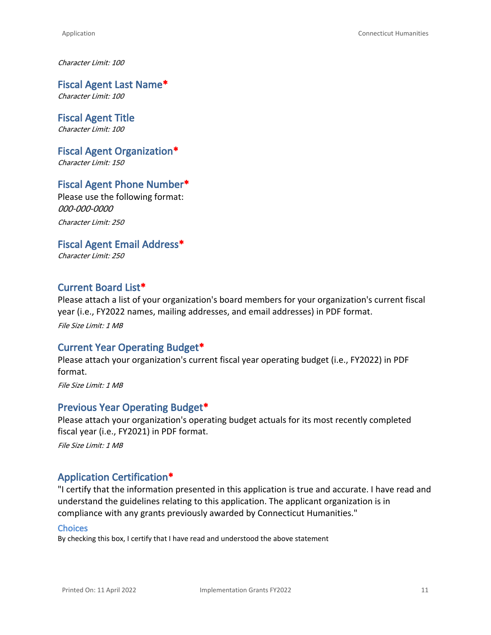*Character Limit: 100*

**Fiscal Agent Last Name\*** *Character Limit: 100*

**Fiscal Agent Title** *Character Limit: 100*

**Fiscal Agent Organization\*** *Character Limit: 150*

## **Fiscal Agent Phone Number\***

Please use the following format: *000-000-0000 Character Limit: 250*

**Fiscal Agent Email Address\***

*Character Limit: 250*

## **Current Board List\***

Please attach a list of your organization's board members for your organization's current fiscal year (i.e., FY2022 names, mailing addresses, and email addresses) in PDF format.

*File Size Limit: 1 MB*

## **Current Year Operating Budget\***

Please attach your organization's current fiscal year operating budget (i.e., FY2022) in PDF format.

*File Size Limit: 1 MB*

#### **Previous Year Operating Budget\***

Please attach your organization's operating budget actuals for its most recently completed fiscal year (i.e., FY2021) in PDF format.

*File Size Limit: 1 MB*

### **Application Certification\***

"I certify that the information presented in this application is true and accurate. I have read and understand the [guidelines](https://cthumanities.org/wp-content/uploads/2022/02/PP-Implementation-Guidelines012622.pdf) relating to this application. The applicant organization is in compliance with any grants previously awarded by Connecticut Humanities."

#### **Choices**

By checking this box, I certify that I have read and understood the above statement